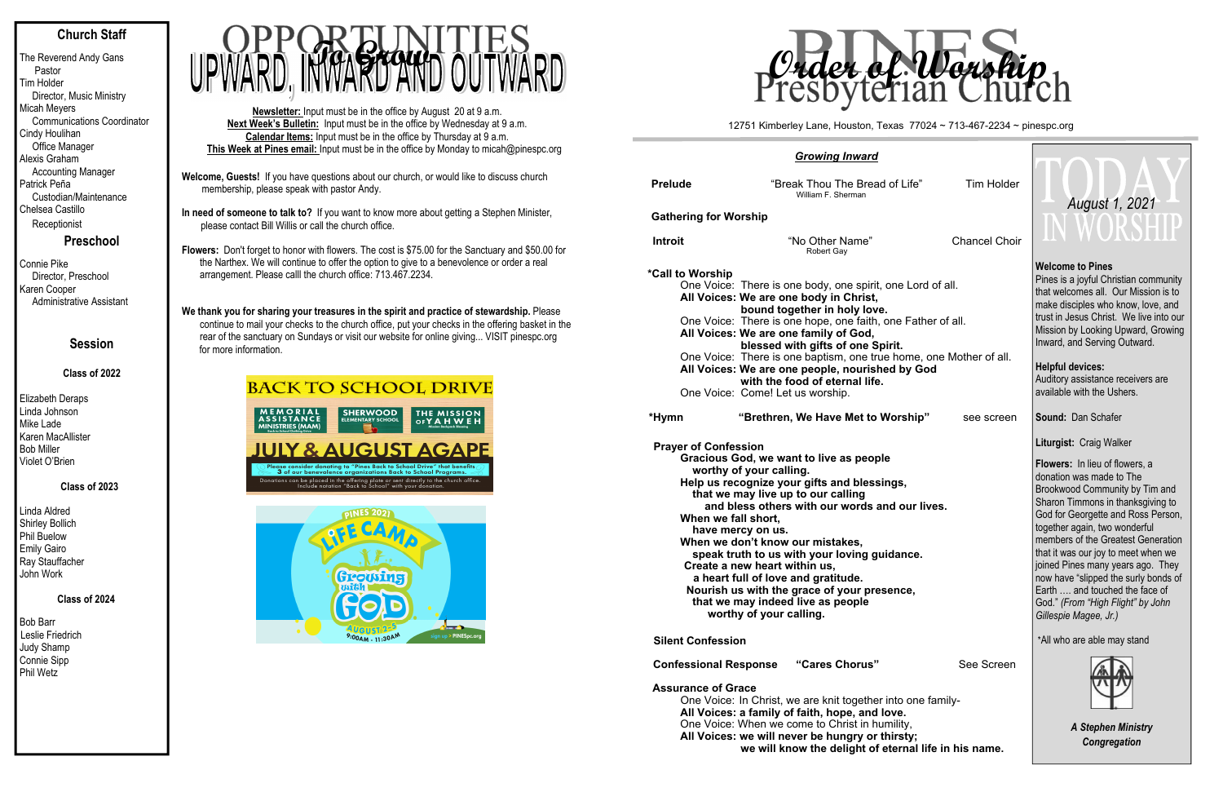# **Church Staff**

The Reverend Andy Gans Pastor Tim Holder Director, Music Ministry Micah Meyers Communications Coordinator Cindy Houlihan Office Manager Alexis Graham Accounting Manager Patrick Peña Custodian/Maintenance Chelsea Castillo Receptionist

**Preschool**

Connie Pike Director, Preschool Karen Cooper Administrative Assistant

# **Session**

# **Class of 2022**

Elizabeth Deraps Linda Johnson Mike Lade Karen MacAllister Bob Miller Violet O'Brien

## **Class of 2023**

Linda Aldred Shirley Bollich Phil Buelow Emily Gairo Ray Stauffacher John Work

# **Class of 2024**

Bob Barr Leslie Friedrich Judy Shamp Connie Sipp Phil Wetz

We thank you for sharing your treasures in the spirit and practice of stewardship. Please continue to mail your checks to the church office, put your checks in the offering basket in the rear of the sanctuary on Sundays or visit our website for online giving... VISIT pinespc.org for more information.

# **BACK TO SCHOOL DRIVE**





| <b>Prelude</b>                                     | "Break Thou The Bread of Life"<br>William F. Sherman                                                                                                                                                                                                                                                                                                                                                                                                                                                      |  | <b>Tim Holder</b>    |
|----------------------------------------------------|-----------------------------------------------------------------------------------------------------------------------------------------------------------------------------------------------------------------------------------------------------------------------------------------------------------------------------------------------------------------------------------------------------------------------------------------------------------------------------------------------------------|--|----------------------|
| <b>Gathering for Worship</b>                       |                                                                                                                                                                                                                                                                                                                                                                                                                                                                                                           |  |                      |
| <b>Introit</b>                                     | "No Other Name"<br>Robert Gay                                                                                                                                                                                                                                                                                                                                                                                                                                                                             |  | <b>Chancel Choir</b> |
| *Call to Worship                                   | One Voice: There is one body, one spirit, one Lord of all.<br>All Voices: We are one body in Christ,<br>bound together in holy love.<br>One Voice: There is one hope, one faith, one Father of all.<br>All Voices: We are one family of God,<br>blessed with gifts of one Spirit.<br>One Voice: There is one baptism, one true home, one Mother of all.<br>All Voices: We are one people, nourished by God<br>with the food of eternal life.<br>One Voice: Come! Let us worship.                          |  |                      |
| *Hymn                                              | "Brethren, We Have Met to Worship"                                                                                                                                                                                                                                                                                                                                                                                                                                                                        |  | see screen           |
| <b>Prayer of Confession</b><br>When we fall short, | Gracious God, we want to live as people<br>worthy of your calling.<br>Help us recognize your gifts and blessings,<br>that we may live up to our calling<br>and bless others with our words and our lives.<br>have mercy on us.<br>When we don't know our mistakes,<br>speak truth to us with your loving guidance.<br>Create a new heart within us,<br>a heart full of love and gratitude.<br>Nourish us with the grace of your presence,<br>that we may indeed live as people<br>worthy of your calling. |  |                      |
| <b>Silent Confession</b>                           |                                                                                                                                                                                                                                                                                                                                                                                                                                                                                                           |  |                      |
| <b>Confessional Response</b>                       | "Cares Chorus"                                                                                                                                                                                                                                                                                                                                                                                                                                                                                            |  | See Screen           |

- **Welcome, Guests!** If you have questions about our church, or would like to discuss church membership, please speak with pastor Andy.
- **In need of someone to talk to?** If you want to know more about getting a Stephen Minister, please contact Bill Willis or call the church office.
- **Flowers:** Don't forget to honor with flowers. The cost is \$75.00 for the Sanctuary and \$50.00 for the Narthex. We will continue to offer the option to give to a benevolence or order a real arrangement. Please calll the church office: 713.467.2234.

One Voice: In Christ, we are knit together into one family-All Voices: a family of faith, hope, and love One Voice: When we come to Christ in humility All Voices: we will never be hungry or thirs we will know the delight of eter

**Newsletter:** Input must be in the office by August 20 at 9 a.m. **Next Week's Bulletin:** Input must be in the office by Wednesday at 9 a.m. **Calendar Items:** Input must be in the office by Thursday at 9 a.m. **This Week at Pines email:** Input must be in the office by Monday to micah@pinespc.org



## *Growing Inward*

## **Assurance of Grace**

| <u>rd</u>                                                                                                                                |                      |                                                                                                                                                                                                                                                                                                                                                               |  |  |  |  |
|------------------------------------------------------------------------------------------------------------------------------------------|----------------------|---------------------------------------------------------------------------------------------------------------------------------------------------------------------------------------------------------------------------------------------------------------------------------------------------------------------------------------------------------------|--|--|--|--|
| ead of Life"                                                                                                                             | <b>Tim Holder</b>    |                                                                                                                                                                                                                                                                                                                                                               |  |  |  |  |
|                                                                                                                                          |                      | August 1, 2021                                                                                                                                                                                                                                                                                                                                                |  |  |  |  |
| ,,                                                                                                                                       | <b>Chancel Choir</b> | WORSHIP                                                                                                                                                                                                                                                                                                                                                       |  |  |  |  |
| irit, one Lord of all.<br>st,<br>we.<br>th, one Father of all.<br>l,<br>Spirit.<br>true home, one Mother of all.<br>ished by God<br>ife. |                      | <b>Welcome to Pines</b><br>Pines is a joyful Christian community<br>that welcomes all. Our Mission is to<br>make disciples who know, love, and<br>trust in Jesus Christ. We live into our<br>Mission by Looking Upward, Growing<br>Inward, and Serving Outward.<br><b>Helpful devices:</b><br>Auditory assistance receivers are<br>available with the Ushers. |  |  |  |  |
| o Worship"                                                                                                                               | see screen           | Sound: Dan Schafer                                                                                                                                                                                                                                                                                                                                            |  |  |  |  |
|                                                                                                                                          |                      | Liturgist: Craig Walker                                                                                                                                                                                                                                                                                                                                       |  |  |  |  |
| ople                                                                                                                                     |                      | <b>Flowers:</b> In lieu of flowers, a                                                                                                                                                                                                                                                                                                                         |  |  |  |  |
| ssings,                                                                                                                                  |                      | donation was made to The                                                                                                                                                                                                                                                                                                                                      |  |  |  |  |
|                                                                                                                                          |                      | Brookwood Community by Tim and<br>Sharon Timmons in thanksgiving to                                                                                                                                                                                                                                                                                           |  |  |  |  |
| s and our lives.                                                                                                                         |                      | God for Georgette and Ross Person,                                                                                                                                                                                                                                                                                                                            |  |  |  |  |
|                                                                                                                                          |                      | together again, two wonderful<br>members of the Greatest Generation                                                                                                                                                                                                                                                                                           |  |  |  |  |
| guidance.                                                                                                                                |                      | that it was our joy to meet when we                                                                                                                                                                                                                                                                                                                           |  |  |  |  |
| resence,                                                                                                                                 |                      | joined Pines many years ago. They<br>now have "slipped the surly bonds of<br>Earth  and touched the face of<br>God." (From "High Flight" by John<br>Gillespie Magee, Jr.)                                                                                                                                                                                     |  |  |  |  |
|                                                                                                                                          |                      | *All who are able may stand                                                                                                                                                                                                                                                                                                                                   |  |  |  |  |
| $\mathbf{s}^{\prime\prime}$<br>her into one family-                                                                                      | See Screen           |                                                                                                                                                                                                                                                                                                                                                               |  |  |  |  |
| d love.<br>humility,<br>or thirsty;<br>of eternal life in his name.                                                                      |                      | <b>A Stephen Ministry</b><br>Congregation                                                                                                                                                                                                                                                                                                                     |  |  |  |  |
|                                                                                                                                          |                      |                                                                                                                                                                                                                                                                                                                                                               |  |  |  |  |

12751 Kimberley Lane, Houston, Texas 77024 ~ 713-467-2234 ~ pinespc.org